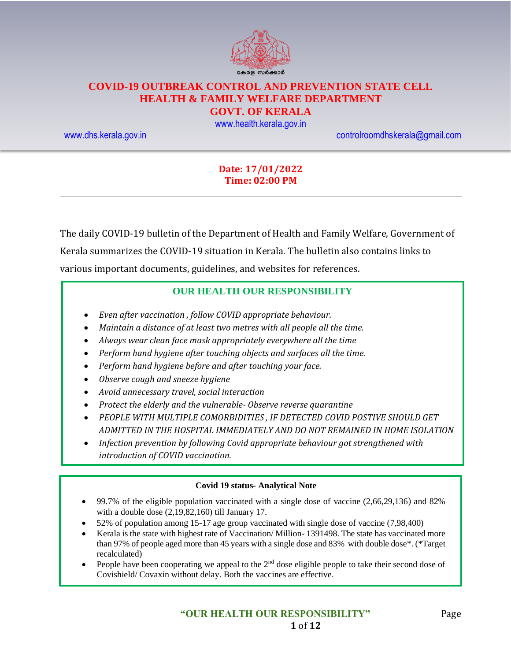

# **COVID-19 OUTBREAK CONTROL AND PREVENTION STATE CELL HEALTH & FAMILY WELFARE DEPARTMENT**

# **GOVT. OF KERALA**

[www.health.kerala.gov.in](file:///D:/My%20Documents/Mahesh%20-%20Dont%20Delete/Assistant%20Surgeon/Aardram%20Mission/Projects/COVID%20Control%20Room/Bulletin%20Format%20New/www.health.kerala.gov.in)

[www.dhs.kerala.gov.in](http://www.dhs.kerala.gov.in/) [controlroomdhskerala@gmail.com](mailto:controlroomdhskerala@gmail.com)

#### **Date: 17/01/2022 Time: 02:00 PM**

The daily COVID-19 bulletin of the Department of Health and Family Welfare, Government of Kerala summarizes the COVID-19 situation in Kerala. The bulletin also contains links to various important documents, guidelines, and websites for references.

#### **OUR HEALTH OUR RESPONSIBILITY**

- *Even after vaccination , follow COVID appropriate behaviour.*
- *Maintain a distance of at least two metres with all people all the time.*
- *Always wear clean face mask appropriately everywhere all the time*
- *Perform hand hygiene after touching objects and surfaces all the time.*
- *Perform hand hygiene before and after touching your face.*
- *Observe cough and sneeze hygiene*
- *Avoid unnecessary travel, social interaction*
- *Protect the elderly and the vulnerable- Observe reverse quarantine*
- *PEOPLE WITH MULTIPLE COMORBIDITIES , IF DETECTED COVID POSTIVE SHOULD GET ADMITTED IN THE HOSPITAL IMMEDIATELY AND DO NOT REMAINED IN HOME ISOLATION*
- *Infection prevention by following Covid appropriate behaviour got strengthened with introduction of COVID vaccination.*

#### **Covid 19 status- Analytical Note**

- 99.7% of the eligible population vaccinated with a single dose of vaccine (2,66,29,136) and 82% with a double dose (2,19,82,160) till January 17.
- 52% of population among 15-17 age group vaccinated with single dose of vaccine (7,98,400)
- Kerala is the state with highest rate of Vaccination/ Million- 1391498. The state has vaccinated more than 97% of people aged more than 45 years with a single dose and 83% with double dose\*. (\*Target recalculated)
- People have been cooperating we appeal to the 2<sup>nd</sup> dose eligible people to take their second dose of Covishield/ Covaxin without delay. Both the vaccines are effective.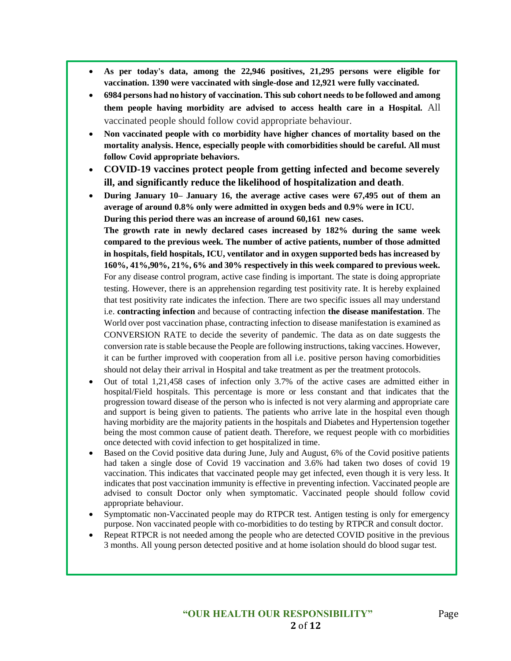- **As per today's data, among the 22,946 positives, 21,295 persons were eligible for vaccination. 1390 were vaccinated with single-dose and 12,921 were fully vaccinated.**
- **6984 persons had no history of vaccination. This sub cohort needs to be followed and among them people having morbidity are advised to access health care in a Hospital.** All vaccinated people should follow covid appropriate behaviour.
- **Non vaccinated people with co morbidity have higher chances of mortality based on the mortality analysis. Hence, especially people with comorbidities should be careful. All must follow Covid appropriate behaviors.**
- **COVID-19 vaccines protect people from getting infected and become severely ill, and significantly reduce the likelihood of hospitalization and death**.
- **During January 10– January 16, the average active cases were 67,495 out of them an average of around 0.8% only were admitted in oxygen beds and 0.9% were in ICU. During this period there was an increase of around 60,161 new cases.**

**The growth rate in newly declared cases increased by 182% during the same week compared to the previous week. The number of active patients, number of those admitted in hospitals, field hospitals, ICU, ventilator and in oxygen supported beds has increased by 160%, 41%,90%, 21%, 6% and 30% respectively in this week compared to previous week.** For any disease control program, active case finding is important. The state is doing appropriate testing. However, there is an apprehension regarding test positivity rate. It is hereby explained that test positivity rate indicates the infection. There are two specific issues all may understand i.e. **contracting infection** and because of contracting infection **the disease manifestation**. The World over post vaccination phase, contracting infection to disease manifestation is examined as CONVERSION RATE to decide the severity of pandemic. The data as on date suggests the conversion rate is stable because the People are following instructions, taking vaccines. However, it can be further improved with cooperation from all i.e. positive person having comorbidities should not delay their arrival in Hospital and take treatment as per the treatment protocols.

- Out of total 1,21,458 cases of infection only 3.7% of the active cases are admitted either in hospital/Field hospitals. This percentage is more or less constant and that indicates that the progression toward disease of the person who is infected is not very alarming and appropriate care and support is being given to patients. The patients who arrive late in the hospital even though having morbidity are the majority patients in the hospitals and Diabetes and Hypertension together being the most common cause of patient death. Therefore, we request people with co morbidities once detected with covid infection to get hospitalized in time.
- Based on the Covid positive data during June, July and August, 6% of the Covid positive patients had taken a single dose of Covid 19 vaccination and 3.6% had taken two doses of covid 19 vaccination. This indicates that vaccinated people may get infected, even though it is very less. It indicates that post vaccination immunity is effective in preventing infection. Vaccinated people are advised to consult Doctor only when symptomatic. Vaccinated people should follow covid appropriate behaviour.
- Symptomatic non-Vaccinated people may do RTPCR test. Antigen testing is only for emergency purpose. Non vaccinated people with co-morbidities to do testing by RTPCR and consult doctor.
- Repeat RTPCR is not needed among the people who are detected COVID positive in the previous 3 months. All young person detected positive and at home isolation should do blood sugar test.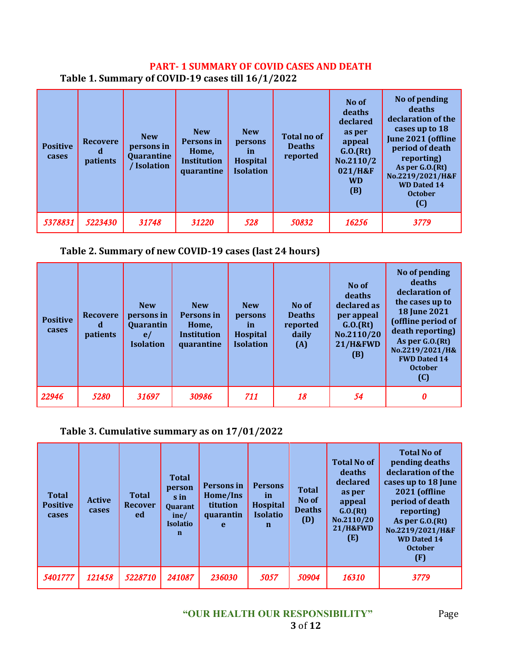### **PART- 1 SUMMARY OF COVID CASES AND DEATH Table 1. Summary of COVID-19 cases till 16/1/2022**

| <b>Positive</b><br>cases | <b>Recovere</b><br>α<br>patients | <b>New</b><br>persons in<br>Quarantine<br>/ Isolation | <b>New</b><br>Persons in<br>Home,<br><b>Institution</b><br>quarantine | <b>New</b><br>persons<br><i>in</i><br><b>Hospital</b><br><b>Isolation</b> | <b>Total no of</b><br><b>Deaths</b><br>reported | No of<br>deaths<br>declared<br>as per<br>appeal<br>G.0.(Rt)<br>No.2110/2<br>021/H&F<br><b>WD</b><br>(B) | No of pending<br>deaths<br>declaration of the<br>cases up to 18<br>June 2021 (offline<br>period of death<br>reporting)<br>As per $G.0(Ft)$<br>No.2219/2021/H&F<br><b>WD Dated 14</b><br><b>October</b><br>(C) |
|--------------------------|----------------------------------|-------------------------------------------------------|-----------------------------------------------------------------------|---------------------------------------------------------------------------|-------------------------------------------------|---------------------------------------------------------------------------------------------------------|---------------------------------------------------------------------------------------------------------------------------------------------------------------------------------------------------------------|
| 5378831                  | 5223430                          | 31748                                                 | 31220                                                                 | 528                                                                       | 50832                                           | 16256                                                                                                   | 3779                                                                                                                                                                                                          |

# **Table 2. Summary of new COVID-19 cases (last 24 hours)**

| <b>Positive</b><br>cases | <b>Recovere</b><br>đ<br>patients | <b>New</b><br>persons in<br>Quarantin<br>e/<br><b>Isolation</b> | <b>New</b><br>Persons in<br>Home,<br><b>Institution</b><br>quarantine | <b>New</b><br>persons<br><i>in</i><br>Hospital<br><b>Isolation</b> | No of<br><b>Deaths</b><br>reported<br>daily<br>(A) | No of<br>deaths<br>declared as<br>per appeal<br>G.0.(Rt)<br>No.2110/20<br><b>21/H&amp;FWD</b><br>(B) | No of pending<br>deaths<br>declaration of<br>the cases up to<br><b>18 June 2021</b><br>(offline period of<br>death reporting)<br>As per G.O.(Rt)<br>No.2219/2021/H&<br><b>FWD Dated 14</b><br><b>October</b><br>(C) |
|--------------------------|----------------------------------|-----------------------------------------------------------------|-----------------------------------------------------------------------|--------------------------------------------------------------------|----------------------------------------------------|------------------------------------------------------------------------------------------------------|---------------------------------------------------------------------------------------------------------------------------------------------------------------------------------------------------------------------|
| 22946                    | 5280                             | 31697                                                           | 30986                                                                 | 711                                                                | 18                                                 | 54                                                                                                   | 0                                                                                                                                                                                                                   |

# **Table 3. Cumulative summary as on 17/01/2022**

| <b>Total</b><br><b>Positive</b><br>cases | <b>Active</b><br>cases | <b>Total</b><br><b>Recover</b><br>ed | <b>Total</b><br>person<br>s in<br><b>Quarant</b><br>ine/<br><b>Isolatio</b><br>$\mathbf n$ | Persons in<br>Home/Ins<br>titution<br>quarantin<br>e | <b>Persons</b><br><i>in</i><br><b>Hospital</b><br><b>Isolatio</b><br>n | <b>Total</b><br>No of<br><b>Deaths</b><br>(D) | <b>Total No of</b><br>deaths<br>declared<br>as per<br>appeal<br>G.0.(Rt)<br>No.2110/20<br><b>21/H&amp;FWD</b><br>(E) | <b>Total No of</b><br>pending deaths<br>declaration of the<br>cases up to 18 June<br><b>2021 (offline</b><br>period of death<br>reporting)<br>As per G.O.(Rt)<br>No.2219/2021/H&F<br><b>WD Dated 14</b><br><b>October</b><br>(F) |
|------------------------------------------|------------------------|--------------------------------------|--------------------------------------------------------------------------------------------|------------------------------------------------------|------------------------------------------------------------------------|-----------------------------------------------|----------------------------------------------------------------------------------------------------------------------|----------------------------------------------------------------------------------------------------------------------------------------------------------------------------------------------------------------------------------|
| 5401777                                  | 121458                 | 5228710                              | 241087                                                                                     | 236030                                               | 5057                                                                   | 50904                                         | 16310                                                                                                                | 3779                                                                                                                                                                                                                             |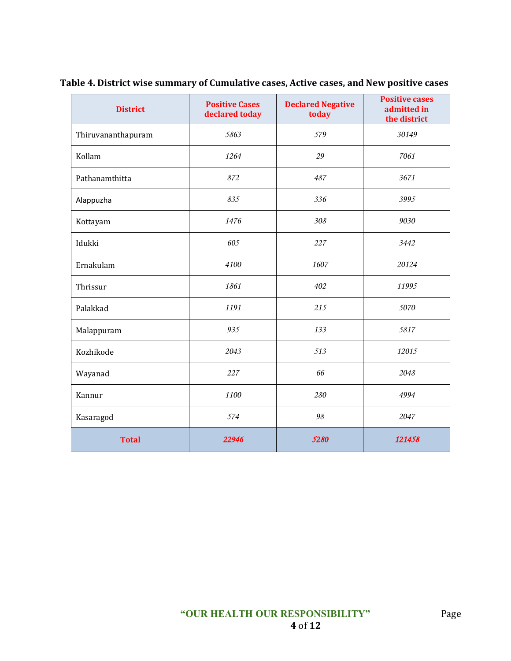| <b>District</b>    | <b>Positive Cases</b><br>declared today | <b>Declared Negative</b><br>today | <b>Positive cases</b><br>admitted in<br>the district |
|--------------------|-----------------------------------------|-----------------------------------|------------------------------------------------------|
| Thiruvananthapuram | 5863                                    | 579                               | 30149                                                |
| Kollam             | 1264                                    | 29                                | 7061                                                 |
| Pathanamthitta     | 872                                     | 487                               | 3671                                                 |
| Alappuzha          | 835                                     | 336                               | 3995                                                 |
| Kottayam           | 1476                                    | 308                               | 9030                                                 |
| Idukki             | 605                                     | 227                               | 3442                                                 |
| Ernakulam          | 4100                                    | 1607                              | 20124                                                |
| Thrissur           | 1861                                    | 402                               | 11995                                                |
| Palakkad           | 1191                                    | 215                               | 5070                                                 |
| Malappuram         | 935                                     | 133                               | 5817                                                 |
| Kozhikode          | 2043                                    | 513                               | 12015                                                |
| Wayanad            | 227                                     | 66                                | 2048                                                 |
| Kannur             | 1100                                    | 280                               | 4994                                                 |
| Kasaragod          | 574                                     | 98                                | 2047                                                 |
| <b>Total</b>       | 22946                                   | 5280                              | 121458                                               |

**Table 4. District wise summary of Cumulative cases, Active cases, and New positive cases**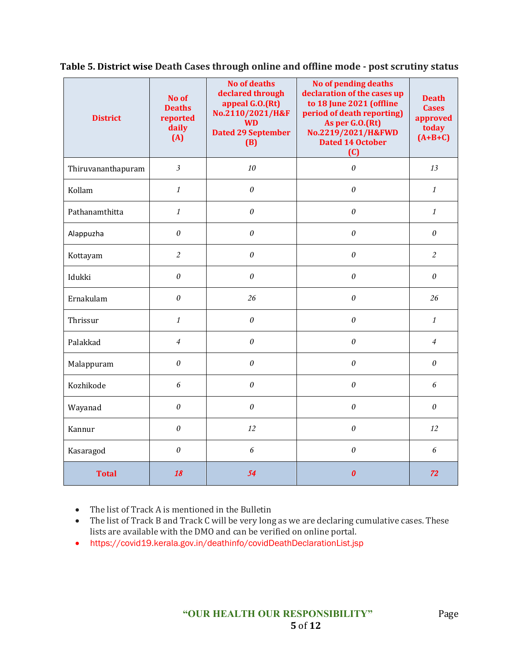| <b>District</b>    | No of<br><b>Deaths</b><br>reported<br>daily<br>(A) | <b>No of deaths</b><br>declared through<br>appeal G.O.(Rt)<br>No.2110/2021/H&F<br><b>WD</b><br><b>Dated 29 September</b><br>(B) | No of pending deaths<br>declaration of the cases up<br>to 18 June 2021 (offline<br>period of death reporting)<br>As per G.O.(Rt)<br>No.2219/2021/H&FWD<br><b>Dated 14 October</b><br>(C) | <b>Death</b><br><b>Cases</b><br>approved<br>today<br>$(A+B+C)$ |
|--------------------|----------------------------------------------------|---------------------------------------------------------------------------------------------------------------------------------|------------------------------------------------------------------------------------------------------------------------------------------------------------------------------------------|----------------------------------------------------------------|
| Thiruvananthapuram | $\overline{\mathfrak{Z}}$                          | 10                                                                                                                              | $\theta$                                                                                                                                                                                 | 13                                                             |
| Kollam             | $\mathbf{1}$                                       | $\theta$                                                                                                                        | $\theta$                                                                                                                                                                                 | $\mathcal{I}$                                                  |
| Pathanamthitta     | $\mathbf{1}$                                       | $\boldsymbol{\mathit{0}}$                                                                                                       | $\theta$                                                                                                                                                                                 | $\mathcal{I}$                                                  |
| Alappuzha          | $\theta$                                           | $\theta$                                                                                                                        | $\theta$                                                                                                                                                                                 | $\theta$                                                       |
| Kottayam           | $\overline{c}$                                     | $\theta$                                                                                                                        | $\theta$                                                                                                                                                                                 | $\overline{c}$                                                 |
| Idukki             | 0                                                  | $\theta$                                                                                                                        | $\theta$                                                                                                                                                                                 | $\theta$                                                       |
| Ernakulam          | $\boldsymbol{\mathit{0}}$                          | 26                                                                                                                              | $\theta$                                                                                                                                                                                 | 26                                                             |
| Thrissur           | $\mathbf{1}$                                       | $\theta$                                                                                                                        | $\theta$                                                                                                                                                                                 | $\mathcal{I}$                                                  |
| Palakkad           | $\overline{4}$                                     | $\theta$                                                                                                                        | $\theta$                                                                                                                                                                                 | $\overline{4}$                                                 |
| Malappuram         | $\theta$                                           | $\theta$                                                                                                                        | $\theta$                                                                                                                                                                                 | $\theta$                                                       |
| Kozhikode          | 6                                                  | $\boldsymbol{\theta}$                                                                                                           | $\boldsymbol{\theta}$                                                                                                                                                                    | 6                                                              |
| Wayanad            | $\theta$                                           | 0                                                                                                                               | $\theta$                                                                                                                                                                                 | $\boldsymbol{\theta}$                                          |
| Kannur             | $\theta$                                           | 12                                                                                                                              | $\theta$                                                                                                                                                                                 | 12                                                             |
| Kasaragod          | $\theta$                                           | 6                                                                                                                               | $\theta$                                                                                                                                                                                 | 6                                                              |
| <b>Total</b>       | 18                                                 | 54                                                                                                                              | 0                                                                                                                                                                                        | 72                                                             |

**Table 5. District wise Death Cases through online and offline mode - post scrutiny status**

• The list of Track A is mentioned in the Bulletin

• The list of Track B and Track C will be very long as we are declaring cumulative cases. These lists are available with the DMO and can be verified on online portal.

• https://covid19.kerala.gov.in/deathinfo/covidDeathDeclarationList.jsp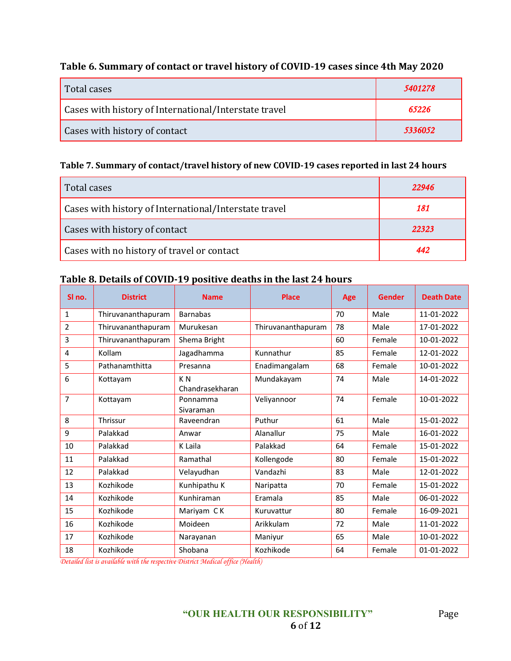# **Table 6. Summary of contact or travel history of COVID-19 cases since 4th May 2020**

| Total cases                                           | 5401278 |
|-------------------------------------------------------|---------|
| Cases with history of International/Interstate travel | 65226   |
| Cases with history of contact                         | 5336052 |

### **Table 7. Summary of contact/travel history of new COVID-19 cases reported in last 24 hours**

| Total cases                                           | 22946 |
|-------------------------------------------------------|-------|
| Cases with history of International/Interstate travel | 181   |
| Cases with history of contact                         | 22323 |
| Cases with no history of travel or contact            | 442   |

#### **Table 8. Details of COVID-19 positive deaths in the last 24 hours**

| SI no.         | <b>District</b>    | <b>Name</b>                       | <b>Place</b>       | Age | Gender | <b>Death Date</b> |
|----------------|--------------------|-----------------------------------|--------------------|-----|--------|-------------------|
| $\mathbf{1}$   | Thiruvananthapuram | <b>Barnabas</b>                   |                    | 70  | Male   | 11-01-2022        |
| $\overline{2}$ | Thiruvananthapuram | Murukesan                         | Thiruvananthapuram | 78  | Male   | 17-01-2022        |
| 3              | Thiruvananthapuram | Shema Bright                      |                    | 60  | Female | 10-01-2022        |
| 4              | Kollam             | Jagadhamma                        | Kunnathur          | 85  | Female | 12-01-2022        |
| 5              | Pathanamthitta     | Presanna                          | Enadimangalam      | 68  | Female | 10-01-2022        |
| 6              | Kottayam           | K <sub>N</sub><br>Chandrasekharan | Mundakayam         | 74  | Male   | 14-01-2022        |
| $\overline{7}$ | Kottayam           | Ponnamma<br>Sivaraman             | Veliyannoor        | 74  | Female | 10-01-2022        |
| 8              | Thrissur           | Raveendran                        | Puthur             | 61  | Male   | 15-01-2022        |
| 9              | Palakkad           | Anwar                             | Alanallur          | 75  | Male   | 16-01-2022        |
| 10             | Palakkad           | K Laila                           | Palakkad           | 64  | Female | 15-01-2022        |
| 11             | Palakkad           | Ramathal                          | Kollengode         | 80  | Female | 15-01-2022        |
| 12             | Palakkad           | Velayudhan                        | Vandazhi           | 83  | Male   | 12-01-2022        |
| 13             | Kozhikode          | Kunhipathu K                      | Naripatta          | 70  | Female | 15-01-2022        |
| 14             | Kozhikode          | Kunhiraman                        | Eramala            | 85  | Male   | 06-01-2022        |
| 15             | Kozhikode          | Mariyam CK                        | Kuruvattur         | 80  | Female | 16-09-2021        |
| 16             | Kozhikode          | Moideen                           | Arikkulam          | 72  | Male   | 11-01-2022        |
| 17             | Kozhikode          | Narayanan                         | Maniyur            | 65  | Male   | 10-01-2022        |
| 18             | Kozhikode          | Shobana                           | Kozhikode          | 64  | Female | 01-01-2022        |

*Detailed list is available with the respective District Medical office (Health)*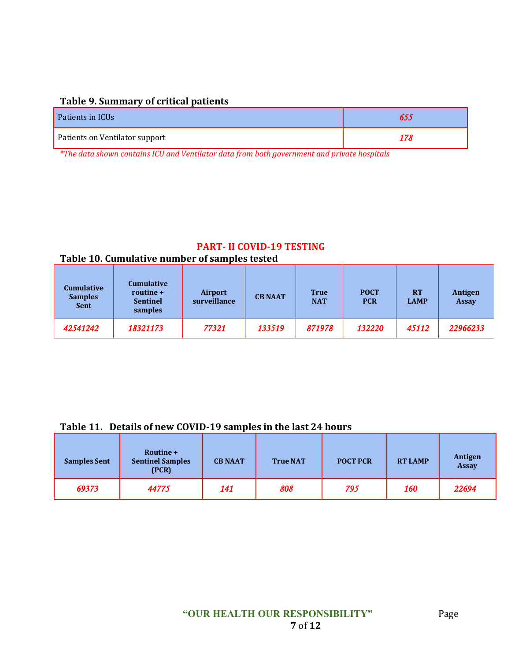### **Table 9. Summary of critical patients**

| Patients in ICUs               |     |
|--------------------------------|-----|
| Patients on Ventilator support | 178 |

*\*The data shown contains ICU and Ventilator data from both government and private hospitals*

# **PART- II COVID-19 TESTING**

# **Table 10. Cumulative number of samples tested**

| <b>Cumulative</b><br><b>Samples</b><br><b>Sent</b> | <b>Cumulative</b><br>routine +<br><b>Sentinel</b><br>samples | <b>Airport</b><br>surveillance | <b>CB NAAT</b> | <b>True</b><br><b>NAT</b> | <b>POCT</b><br><b>PCR</b> | <b>RT</b><br><b>LAMP</b> | Antigen<br><b>Assay</b> |
|----------------------------------------------------|--------------------------------------------------------------|--------------------------------|----------------|---------------------------|---------------------------|--------------------------|-------------------------|
| 42541242                                           | 18321173                                                     | 77321                          | 133519         | 871978                    | 132220                    | 45112                    | 22966233                |

#### **Table 11. Details of new COVID-19 samples in the last 24 hours**

| <b>Samples Sent</b> | Routine +<br><b>Sentinel Samples</b><br>(PCR) | <b>CB NAAT</b> | <b>True NAT</b> | <b>POCT PCR</b> | <b>RT LAMP</b> | Antigen<br><b>Assay</b> |
|---------------------|-----------------------------------------------|----------------|-----------------|-----------------|----------------|-------------------------|
| 69373               | 44775                                         | 141            | 808             | 795             | 160            | 22694                   |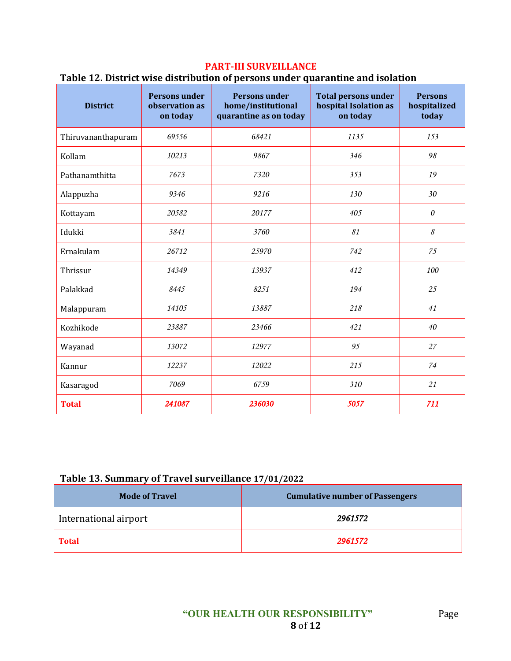# **PART-III SURVEILLANCE**

# **Table 12. District wise distribution of persons under quarantine and isolation**

| <b>District</b>    | <b>Persons under</b><br>observation as<br>on today | <b>Persons under</b><br>home/institutional<br>quarantine as on today | <b>Total persons under</b><br>hospital Isolation as<br>on today | <b>Persons</b><br>hospitalized<br>today |
|--------------------|----------------------------------------------------|----------------------------------------------------------------------|-----------------------------------------------------------------|-----------------------------------------|
| Thiruvananthapuram | 69556                                              | 68421                                                                | 1135                                                            | 153                                     |
| Kollam             | 10213                                              | 9867                                                                 | 346                                                             | 98                                      |
| Pathanamthitta     | 7673                                               | 7320                                                                 | 353                                                             | 19                                      |
| Alappuzha          | 9346                                               | 9216                                                                 | 130                                                             | 30                                      |
| Kottayam           | 20582                                              | 20177                                                                | 405                                                             | $\theta$                                |
| Idukki             | 3841<br>3760                                       |                                                                      | 81                                                              | 8                                       |
| Ernakulam          | 26712                                              |                                                                      | 742                                                             | 75                                      |
| Thrissur           | 14349<br>13937                                     |                                                                      | 412                                                             | 100                                     |
| Palakkad           | 8445                                               | 8251                                                                 | 194                                                             | 25                                      |
| Malappuram         | 14105                                              | 13887                                                                | 218                                                             | 41                                      |
| Kozhikode          | 23887                                              | 23466                                                                | 421                                                             | 40                                      |
| Wayanad            | 13072<br>12977                                     |                                                                      | 95                                                              | 27                                      |
| Kannur             | 12237                                              | 12022                                                                | 215                                                             | 74                                      |
| Kasaragod          | 7069                                               | 6759                                                                 | 310                                                             | 21                                      |
| <b>Total</b>       | 241087                                             | 236030                                                               | 5057                                                            | 711                                     |

# **Table 13. Summary of Travel surveillance 17/01/2022**

| <b>Mode of Travel</b> | <b>Cumulative number of Passengers</b> |
|-----------------------|----------------------------------------|
| International airport | 2961572                                |
| <b>Total</b>          | 2961572                                |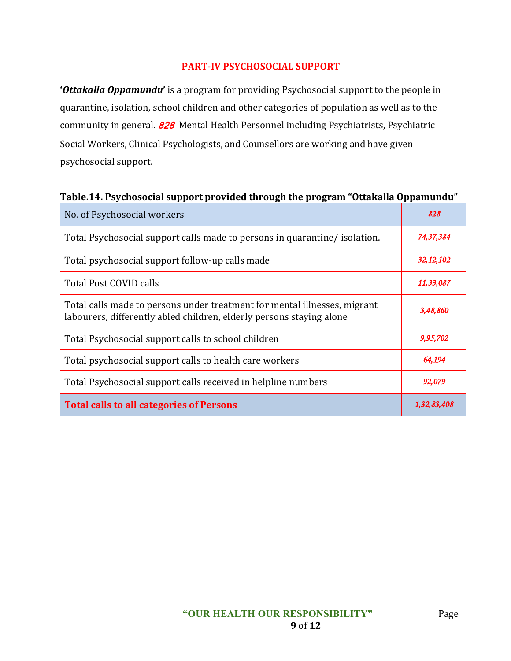# **PART-IV PSYCHOSOCIAL SUPPORT**

**'***Ottakalla Oppamundu***'** is a program for providing Psychosocial support to the people in quarantine, isolation, school children and other categories of population as well as to the community in general. **828** Mental Health Personnel including Psychiatrists, Psychiatric Social Workers, Clinical Psychologists, and Counsellors are working and have given psychosocial support.

### **Table.14. Psychosocial support provided through the program "Ottakalla Oppamundu"**

| No. of Psychosocial workers                                                                                                                       | 828         |
|---------------------------------------------------------------------------------------------------------------------------------------------------|-------------|
| Total Psychosocial support calls made to persons in quarantine/isolation.                                                                         | 74,37,384   |
| Total psychosocial support follow-up calls made                                                                                                   | 32, 12, 102 |
| Total Post COVID calls                                                                                                                            | 11,33,087   |
| Total calls made to persons under treatment for mental illnesses, migrant<br>labourers, differently abled children, elderly persons staying alone | 3,48,860    |
| Total Psychosocial support calls to school children                                                                                               | 9,95,702    |
| Total psychosocial support calls to health care workers                                                                                           | 64,194      |
| Total Psychosocial support calls received in helpline numbers                                                                                     | 92,079      |
| Total calls to all categories of Persons                                                                                                          | 1,32,83,408 |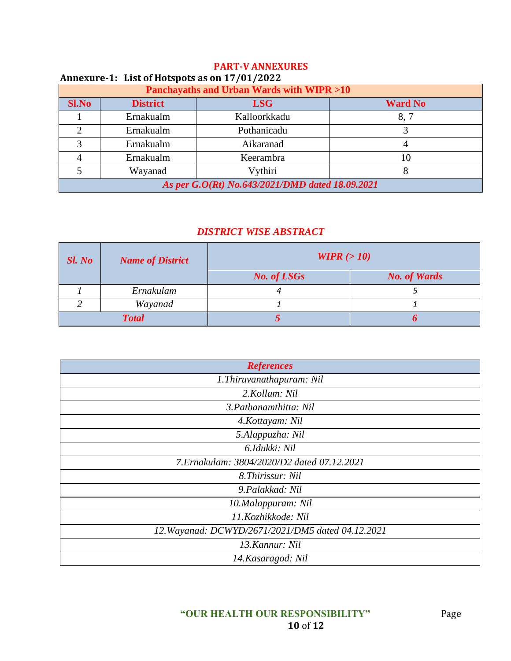| Annexure-1: List of Hotspots as on 17/01/2022   |                 |              |                |
|-------------------------------------------------|-----------------|--------------|----------------|
| Panchayaths and Urban Wards with WIPR >10       |                 |              |                |
| <b>Sl.No</b>                                    | <b>District</b> | <b>LSG</b>   | <b>Ward No</b> |
|                                                 | Ernakualm       | Kalloorkkadu | 8,7            |
| $\mathcal{D}$                                   | Ernakualm       | Pothanicadu  |                |
| 3                                               | Ernakualm       | Aikaranad    |                |
| 4                                               | Ernakualm       | Keerambra    | 10             |
|                                                 | Wayanad         | Vythiri      |                |
| As per G.O(Rt) No.643/2021/DMD dated 18.09.2021 |                 |              |                |

# **PART-V ANNEXURES**

# *DISTRICT WISE ABSTRACT*

| $SL$ No | <b>Name of District</b> | WIPR $(>10)$       |                     |
|---------|-------------------------|--------------------|---------------------|
|         |                         | <b>No. of LSGs</b> | <b>No. of Wards</b> |
|         | Ernakulam               |                    |                     |
|         | Wayanad                 |                    |                     |
|         | <b>Total</b>            |                    |                     |

| <b>References</b>                                 |  |  |
|---------------------------------------------------|--|--|
| 1. Thiruvanathapuram: Nil                         |  |  |
| 2.Kollam: Nil                                     |  |  |
| 3. Pathanamthitta: Nil                            |  |  |
| 4. Kottayam: Nil                                  |  |  |
| 5.Alappuzha: Nil                                  |  |  |
| 6.Idukki: Nil                                     |  |  |
| 7. Ernakulam: 3804/2020/D2 dated 07.12.2021       |  |  |
| 8. Thirissur: Nil                                 |  |  |
| 9.Palakkad: Nil                                   |  |  |
| 10.Malappuram: Nil                                |  |  |
| 11.Kozhikkode: Nil                                |  |  |
| 12. Wayanad: DCWYD/2671/2021/DM5 dated 04.12.2021 |  |  |
| 13. Kannur: Nil                                   |  |  |
| 14. Kasaragod: Nil                                |  |  |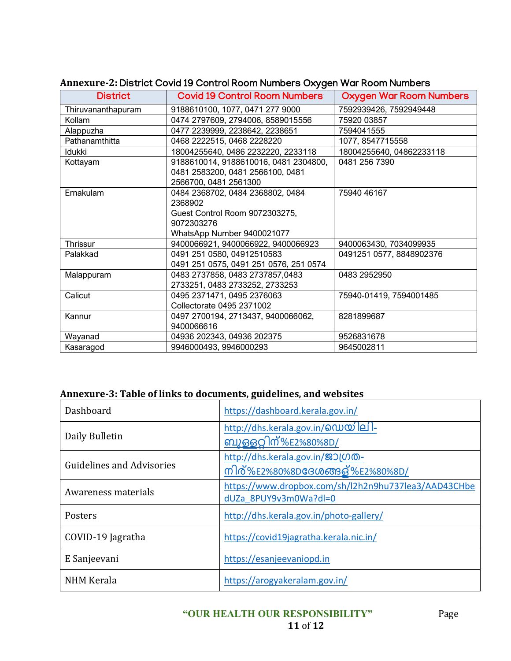| <b>District</b>    | <b>Covid 19 Control Room Numbers</b>   | <b>Oxygen War Room Numbers</b> |
|--------------------|----------------------------------------|--------------------------------|
| Thiruvananthapuram | 9188610100, 1077, 0471 277 9000        | 7592939426, 7592949448         |
| Kollam             | 0474 2797609, 2794006, 8589015556      | 75920 03857                    |
| Alappuzha          | 0477 2239999, 2238642, 2238651         | 7594041555                     |
| Pathanamthitta     | 0468 2222515, 0468 2228220             | 1077, 8547715558               |
| <b>Idukki</b>      | 18004255640, 0486 2232220, 2233118     | 18004255640, 04862233118       |
| Kottayam           | 9188610014, 9188610016, 0481 2304800,  | 0481 256 7390                  |
|                    | 0481 2583200, 0481 2566100, 0481       |                                |
|                    | 2566700, 0481 2561300                  |                                |
| Ernakulam          | 0484 2368702, 0484 2368802, 0484       | 75940 46167                    |
|                    | 2368902                                |                                |
|                    | Guest Control Room 9072303275,         |                                |
|                    | 9072303276                             |                                |
|                    | WhatsApp Number 9400021077             |                                |
| Thrissur           | 9400066921, 9400066922, 9400066923     | 9400063430, 7034099935         |
| Palakkad           | 0491 251 0580, 04912510583             | 0491251 0577, 8848902376       |
|                    | 0491 251 0575, 0491 251 0576, 251 0574 |                                |
| Malappuram         | 0483 2737858, 0483 2737857,0483        | 0483 2952950                   |
|                    | 2733251, 0483 2733252, 2733253         |                                |
| Calicut            | 0495 2371471, 0495 2376063             | 75940-01419, 7594001485        |
|                    | Collectorate 0495 2371002              |                                |
| Kannur             | 0497 2700194, 2713437, 9400066062,     | 8281899687                     |
|                    | 9400066616                             |                                |
| Wayanad            | 04936 202343, 04936 202375             | 9526831678                     |
| Kasaragod          | 9946000493, 9946000293                 | 9645002811                     |

### **Annexure-2:** District Covid 19 Control Room Numbers Oxygen War Room Numbers

### **Annexure-3: Table of links to documents, guidelines, and websites**

| Dashboard                        | https://dashboard.kerala.gov.in/                                              |
|----------------------------------|-------------------------------------------------------------------------------|
| Daily Bulletin                   | http://dhs.kerala.gov.in/@ഡയിലി-<br><u>ബുള്ളറ്റിന്%E2%80%8D/</u>              |
| <b>Guidelines and Advisories</b> | http://dhs.kerala.gov.in/ஜつ(のの-<br>നിര്%E2%80%8D <b>ദേശ</b> ങ്ങള്%E2%80%8D/   |
| Awareness materials              | https://www.dropbox.com/sh/l2h2n9hu737lea3/AAD43CHbe<br>dUZa 8PUY9v3m0Wa?dl=0 |
| Posters                          | http://dhs.kerala.gov.in/photo-gallery/                                       |
| COVID-19 Jagratha                | https://covid19jagratha.kerala.nic.in/                                        |
| E Sanjeevani                     | https://esanjeevaniopd.in                                                     |
| <b>NHM Kerala</b>                | https://arogyakeralam.gov.in/                                                 |